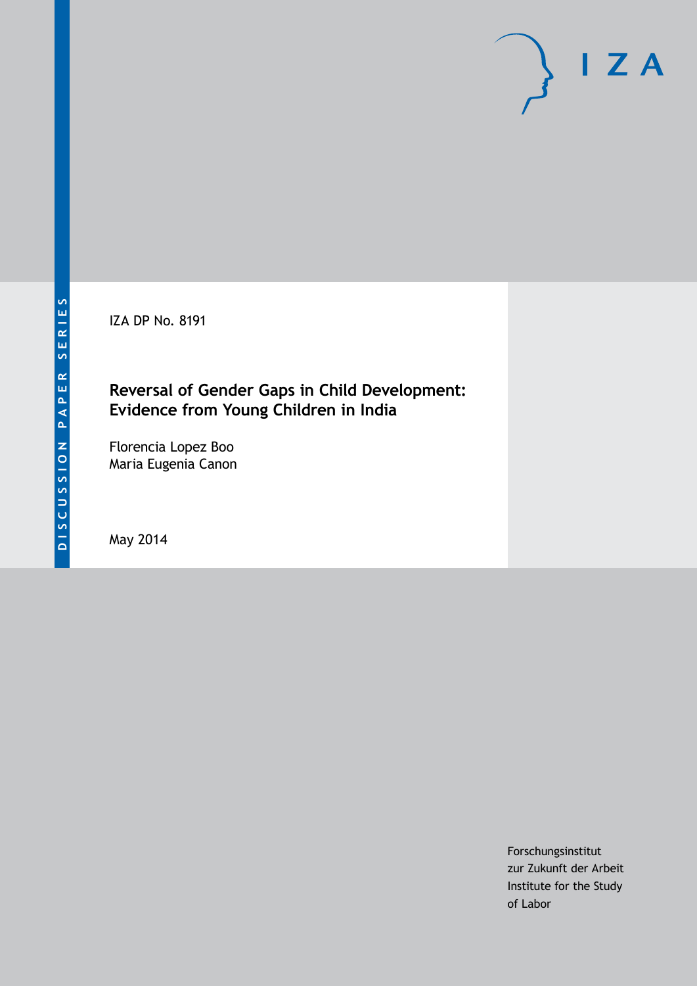IZA DP No. 8191

# **Reversal of Gender Gaps in Child Development: Evidence from Young Children in India**

Florencia Lopez Boo Maria Eugenia Canon

May 2014

Forschungsinstitut zur Zukunft der Arbeit Institute for the Study of Labor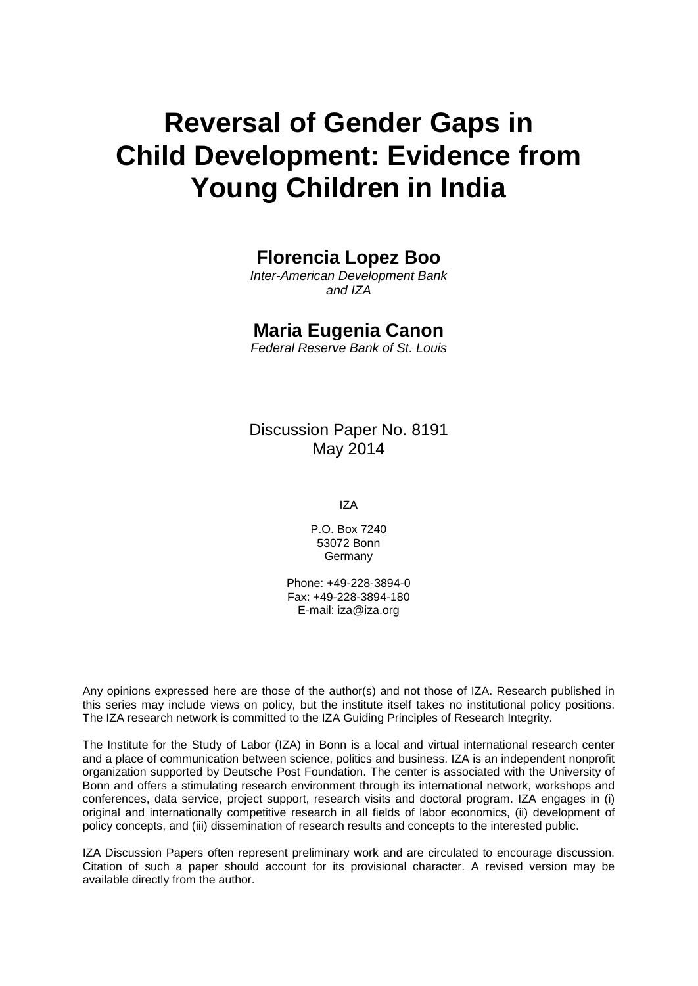# **Reversal of Gender Gaps in Child Development: Evidence from Young Children in India**

## **Florencia Lopez Boo**

*Inter-American Development Bank and IZA*

### **Maria Eugenia Canon**

*Federal Reserve Bank of St. Louis*

Discussion Paper No. 8191 May 2014

IZA

P.O. Box 7240 53072 Bonn Germany

Phone: +49-228-3894-0 Fax: +49-228-3894-180 E-mail: [iza@iza.org](mailto:iza@iza.org)

Any opinions expressed here are those of the author(s) and not those of IZA. Research published in this series may include views on policy, but the institute itself takes no institutional policy positions. The IZA research network is committed to the IZA Guiding Principles of Research Integrity.

The Institute for the Study of Labor (IZA) in Bonn is a local and virtual international research center and a place of communication between science, politics and business. IZA is an independent nonprofit organization supported by Deutsche Post Foundation. The center is associated with the University of Bonn and offers a stimulating research environment through its international network, workshops and conferences, data service, project support, research visits and doctoral program. IZA engages in (i) original and internationally competitive research in all fields of labor economics, (ii) development of policy concepts, and (iii) dissemination of research results and concepts to the interested public.

IZA Discussion Papers often represent preliminary work and are circulated to encourage discussion. Citation of such a paper should account for its provisional character. A revised version may be available directly from the author.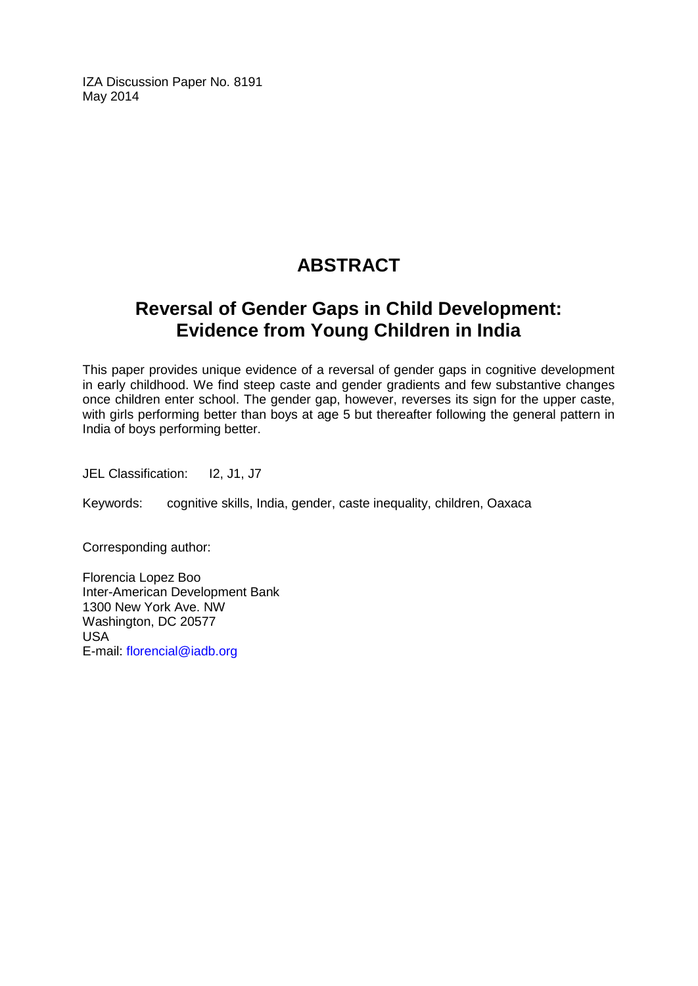IZA Discussion Paper No. 8191 May 2014

# **ABSTRACT**

# **Reversal of Gender Gaps in Child Development: Evidence from Young Children in India**

This paper provides unique evidence of a reversal of gender gaps in cognitive development in early childhood. We find steep caste and gender gradients and few substantive changes once children enter school. The gender gap, however, reverses its sign for the upper caste, with girls performing better than boys at age 5 but thereafter following the general pattern in India of boys performing better.

JEL Classification: I2, J1, J7

Keywords: cognitive skills, India, gender, caste inequality, children, Oaxaca

Corresponding author:

Florencia Lopez Boo Inter-American Development Bank 1300 New York Ave. NW Washington, DC 20577 USA E-mail: [florencial@iadb.org](mailto:florencial@iadb.org)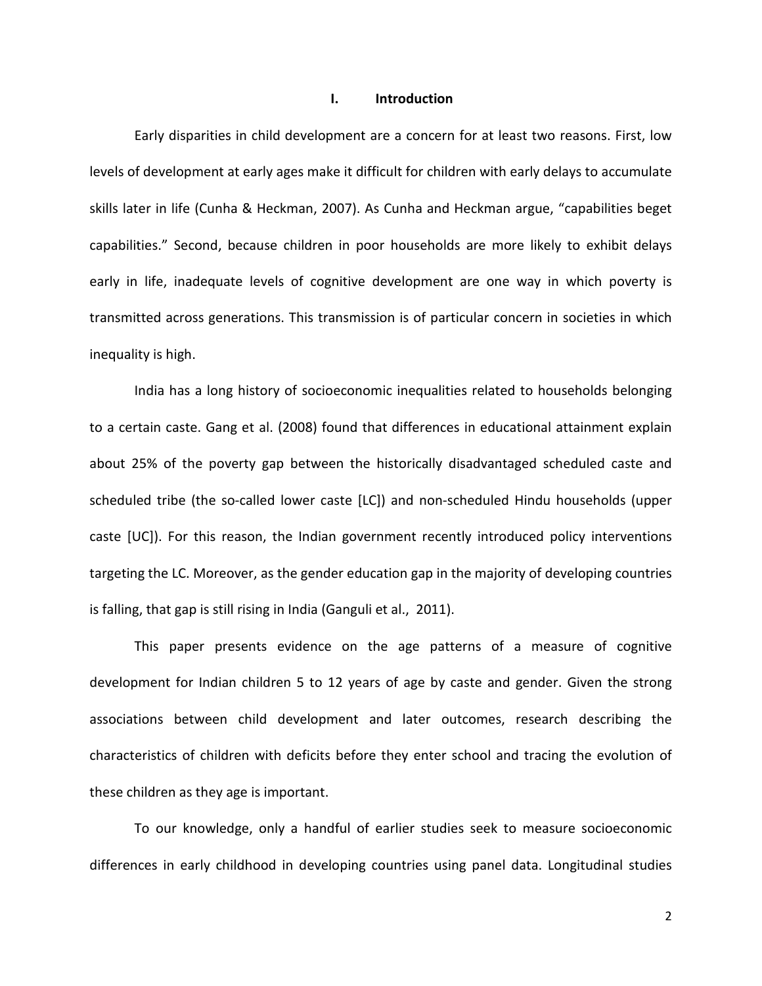#### **I. Introduction**

Early disparities in child development are a concern for at least two reasons. First, low levels of development at early ages make it difficult for children with early delays to accumulate skills later in life (Cunha & Heckman, 2007). As Cunha and Heckman argue, "capabilities beget capabilities." Second, because children in poor households are more likely to exhibit delays early in life, inadequate levels of cognitive development are one way in which poverty is transmitted across generations. This transmission is of particular concern in societies in which inequality is high.

India has a long history of socioeconomic inequalities related to households belonging to a certain caste. Gang et al. (2008) found that differences in educational attainment explain about 25% of the poverty gap between the historically disadvantaged scheduled caste and scheduled tribe (the so-called lower caste [LC]) and non-scheduled Hindu households (upper caste [UC]). For this reason, the Indian government recently introduced policy interventions targeting the LC. Moreover, as the gender education gap in the majority of developing countries is falling, that gap is still rising in India (Ganguli et al., 2011).

This paper presents evidence on the age patterns of a measure of cognitive development for Indian children 5 to 12 years of age by caste and gender. Given the strong associations between child development and later outcomes, research describing the characteristics of children with deficits before they enter school and tracing the evolution of these children as they age is important.

To our knowledge, only a handful of earlier studies seek to measure socioeconomic differences in early childhood in developing countries using panel data. Longitudinal studies

2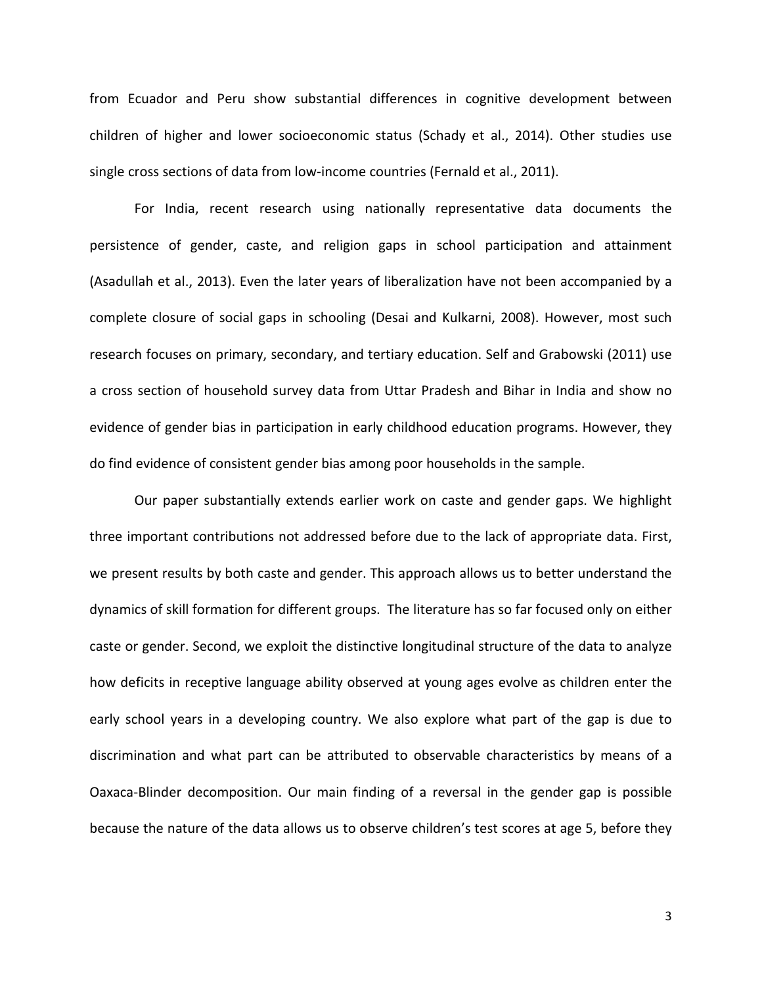from Ecuador and Peru show substantial differences in cognitive development between children of higher and lower socioeconomic status (Schady et al., 2014). Other studies use single cross sections of data from low-income countries (Fernald et al., 2011).

For India, recent research using nationally representative data documents the persistence of gender, caste, and religion gaps in school participation and attainment (Asadullah et al., 2013). Even the later years of liberalization have not been accompanied by a complete closure of social gaps in schooling (Desai and Kulkarni, 2008). However, most such research focuses on primary, secondary, and tertiary education. Self and Grabowski (2011) use a cross section of household survey data from Uttar Pradesh and Bihar in India and show no evidence of gender bias in participation in early childhood education programs. However, they do find evidence of consistent gender bias among poor households in the sample.

Our paper substantially extends earlier work on caste and gender gaps. We highlight three important contributions not addressed before due to the lack of appropriate data. First, we present results by both caste and gender. This approach allows us to better understand the dynamics of skill formation for different groups. The literature has so far focused only on either caste or gender. Second, we exploit the distinctive longitudinal structure of the data to analyze how deficits in receptive language ability observed at young ages evolve as children enter the early school years in a developing country. We also explore what part of the gap is due to discrimination and what part can be attributed to observable characteristics by means of a Oaxaca-Blinder decomposition. Our main finding of a reversal in the gender gap is possible because the nature of the data allows us to observe children's test scores at age 5, before they

3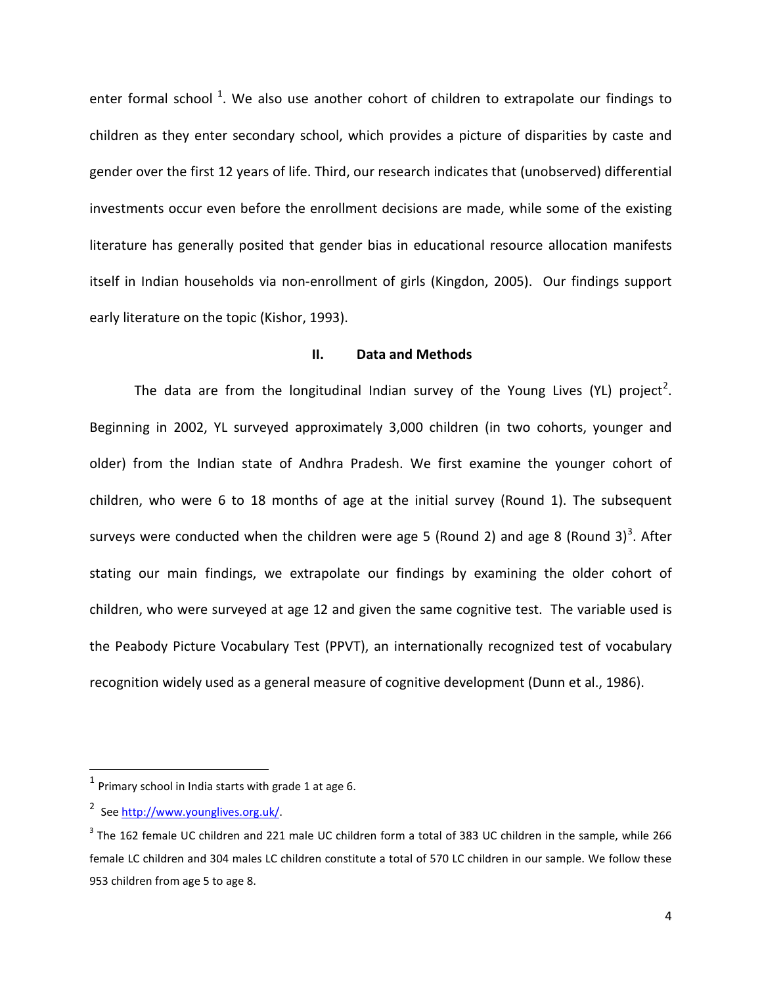enter formal school <sup>1</sup>. We also use another cohort of children to extrapolate our findings to children as they enter secondary school, which provides a picture of disparities by caste and gender over the first 12 years of life. Third, our research indicates that (unobserved) differential investments occur even before the enrollment decisions are made, while some of the existing literature has generally posited that gender bias in educational resource allocation manifests itself in Indian households via non-enrollment of girls (Kingdon, 2005). Our findings support early literature on the topic (Kishor, 1993).

#### **II. Data and Methods**

The data are from the longitudinal Indian survey of the Young Lives (YL) project<sup>[2](#page-5-0)</sup>. Beginning in 2002, YL surveyed approximately 3,000 children (in two cohorts, younger and older) from the Indian state of Andhra Pradesh. We first examine the younger cohort of children, who were 6 to 18 months of age at the initial survey (Round 1). The subsequent surveys were conducted when the children were age 5 (Round 2) and age 8 (Round [3](#page-5-1))<sup>3</sup>. After stating our main findings, we extrapolate our findings by examining the older cohort of children, who were surveyed at age 12 and given the same cognitive test. The variable used is the Peabody Picture Vocabulary Test (PPVT), an internationally recognized test of vocabulary recognition widely used as a general measure of cognitive development (Dunn et al., 1986).

 $1$  Primary school in India starts with grade 1 at age 6.

<span id="page-5-0"></span><sup>&</sup>lt;sup>2</sup> See http://www.younglives.org.uk/

<span id="page-5-1"></span> $3$  The 162 female UC children and 221 male UC children form a total of 383 UC children in the sample, while 266 female LC children and 304 males LC children constitute a total of 570 LC children in our sample. We follow these 953 children from age 5 to age 8.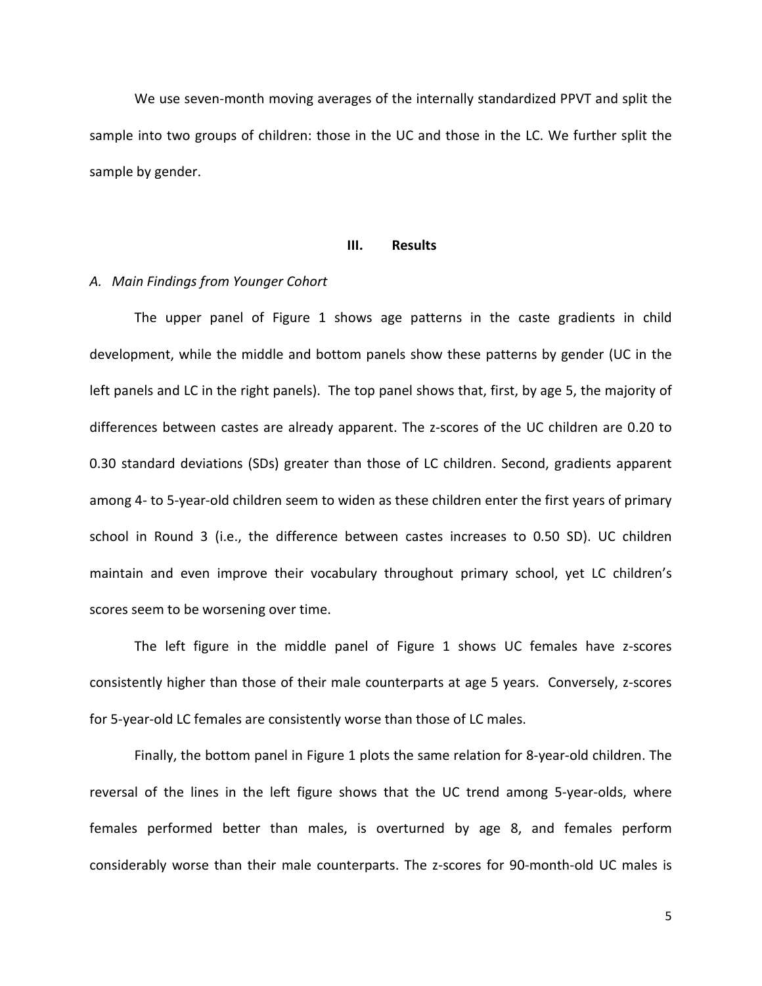We use seven-month moving averages of the internally standardized PPVT and split the sample into two groups of children: those in the UC and those in the LC. We further split the sample by gender.

#### **III. Results**

#### *A. Main Findings from Younger Cohort*

The upper panel of Figure 1 shows age patterns in the caste gradients in child development, while the middle and bottom panels show these patterns by gender (UC in the left panels and LC in the right panels). The top panel shows that, first, by age 5, the majority of differences between castes are already apparent. The z-scores of the UC children are 0.20 to 0.30 standard deviations (SDs) greater than those of LC children. Second, gradients apparent among 4- to 5-year-old children seem to widen as these children enter the first years of primary school in Round 3 (i.e., the difference between castes increases to 0.50 SD). UC children maintain and even improve their vocabulary throughout primary school, yet LC children's scores seem to be worsening over time.

The left figure in the middle panel of Figure 1 shows UC females have z-scores consistently higher than those of their male counterparts at age 5 years. Conversely, z-scores for 5-year-old LC females are consistently worse than those of LC males.

Finally, the bottom panel in Figure 1 plots the same relation for 8-year-old children. The reversal of the lines in the left figure shows that the UC trend among 5-year-olds, where females performed better than males, is overturned by age 8, and females perform considerably worse than their male counterparts. The z-scores for 90-month-old UC males is

the contract of the contract of the contract of the contract of the contract of the contract of the contract o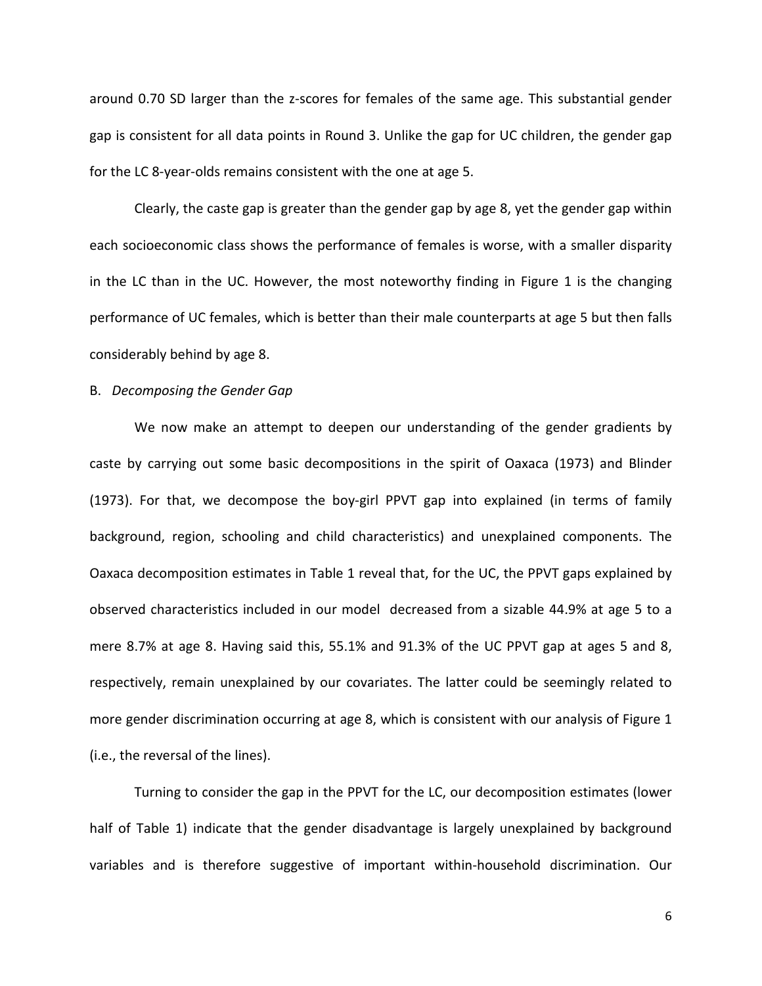around 0.70 SD larger than the z-scores for females of the same age. This substantial gender gap is consistent for all data points in Round 3. Unlike the gap for UC children, the gender gap for the LC 8-year-olds remains consistent with the one at age 5.

Clearly, the caste gap is greater than the gender gap by age 8, yet the gender gap within each socioeconomic class shows the performance of females is worse, with a smaller disparity in the LC than in the UC. However, the most noteworthy finding in Figure 1 is the changing performance of UC females, which is better than their male counterparts at age 5 but then falls considerably behind by age 8.

#### B. *Decomposing the Gender Gap*

We now make an attempt to deepen our understanding of the gender gradients by caste by carrying out some basic decompositions in the spirit of Oaxaca (1973) and Blinder (1973). For that, we decompose the boy-girl PPVT gap into explained (in terms of family background, region, schooling and child characteristics) and unexplained components. The Oaxaca decomposition estimates in Table 1 reveal that, for the UC, the PPVT gaps explained by observed characteristics included in our model decreased from a sizable 44.9% at age 5 to a mere 8.7% at age 8. Having said this, 55.1% and 91.3% of the UC PPVT gap at ages 5 and 8, respectively, remain unexplained by our covariates. The latter could be seemingly related to more gender discrimination occurring at age 8, which is consistent with our analysis of Figure 1 (i.e., the reversal of the lines).

Turning to consider the gap in the PPVT for the LC, our decomposition estimates (lower half of Table 1) indicate that the gender disadvantage is largely unexplained by background variables and is therefore suggestive of important within-household discrimination. Our

 $\sim$  600  $\sim$  600  $\sim$  600  $\sim$  600  $\sim$  600  $\sim$  600  $\sim$  600  $\sim$  600  $\sim$  600  $\sim$  600  $\sim$  600  $\sim$  600  $\sim$  600  $\sim$  600  $\sim$  600  $\sim$  600  $\sim$  600  $\sim$  600  $\sim$  600  $\sim$  600  $\sim$  600  $\sim$  600  $\sim$  600  $\sim$  600  $\sim$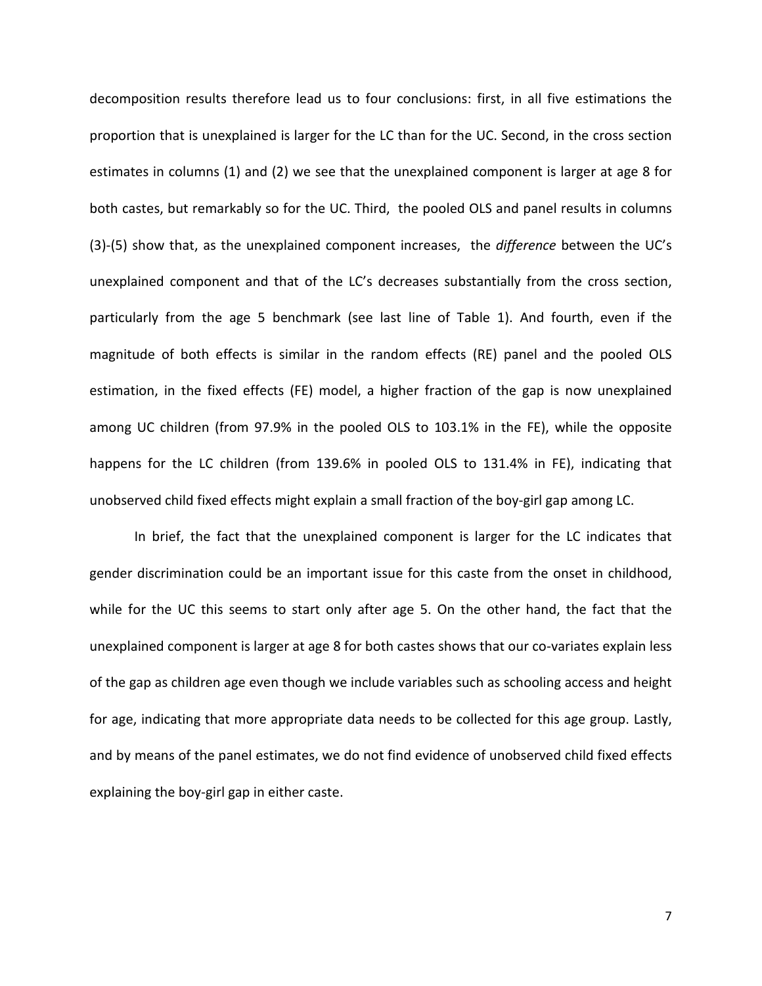decomposition results therefore lead us to four conclusions: first, in all five estimations the proportion that is unexplained is larger for the LC than for the UC. Second, in the cross section estimates in columns (1) and (2) we see that the unexplained component is larger at age 8 for both castes, but remarkably so for the UC. Third, the pooled OLS and panel results in columns (3)-(5) show that, as the unexplained component increases, the *difference* between the UC's unexplained component and that of the LC's decreases substantially from the cross section, particularly from the age 5 benchmark (see last line of Table 1). And fourth, even if the magnitude of both effects is similar in the random effects (RE) panel and the pooled OLS estimation, in the fixed effects (FE) model, a higher fraction of the gap is now unexplained among UC children (from 97.9% in the pooled OLS to 103.1% in the FE), while the opposite happens for the LC children (from 139.6% in pooled OLS to 131.4% in FE), indicating that unobserved child fixed effects might explain a small fraction of the boy-girl gap among LC.

In brief, the fact that the unexplained component is larger for the LC indicates that gender discrimination could be an important issue for this caste from the onset in childhood, while for the UC this seems to start only after age 5. On the other hand, the fact that the unexplained component is larger at age 8 for both castes shows that our co-variates explain less of the gap as children age even though we include variables such as schooling access and height for age, indicating that more appropriate data needs to be collected for this age group. Lastly, and by means of the panel estimates, we do not find evidence of unobserved child fixed effects explaining the boy-girl gap in either caste.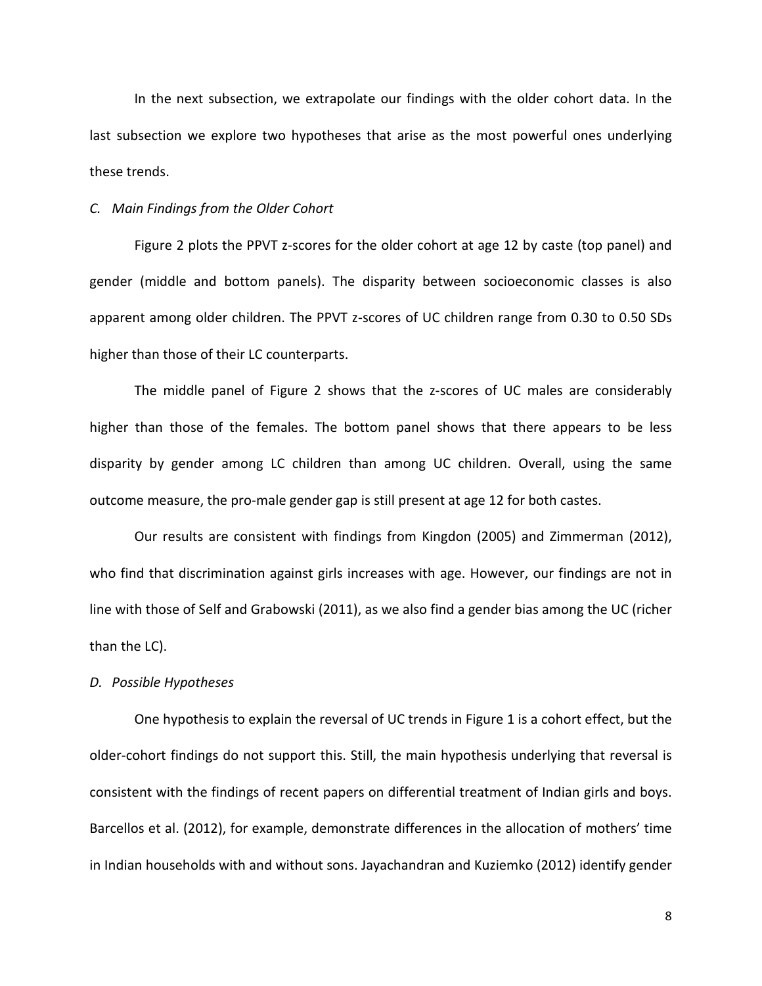In the next subsection, we extrapolate our findings with the older cohort data. In the last subsection we explore two hypotheses that arise as the most powerful ones underlying these trends.

#### *C. Main Findings from the Older Cohort*

Figure 2 plots the PPVT z-scores for the older cohort at age 12 by caste (top panel) and gender (middle and bottom panels). The disparity between socioeconomic classes is also apparent among older children. The PPVT z-scores of UC children range from 0.30 to 0.50 SDs higher than those of their LC counterparts.

The middle panel of Figure 2 shows that the z-scores of UC males are considerably higher than those of the females. The bottom panel shows that there appears to be less disparity by gender among LC children than among UC children. Overall, using the same outcome measure, the pro-male gender gap is still present at age 12 for both castes.

Our results are consistent with findings from Kingdon (2005) and Zimmerman (2012), who find that discrimination against girls increases with age. However, our findings are not in line with those of Self and Grabowski (2011), as we also find a gender bias among the UC (richer than the LC).

#### *D. Possible Hypotheses*

One hypothesis to explain the reversal of UC trends in Figure 1 is a cohort effect, but the older-cohort findings do not support this. Still, the main hypothesis underlying that reversal is consistent with the findings of recent papers on differential treatment of Indian girls and boys. Barcellos et al. (2012), for example, demonstrate differences in the allocation of mothers' time in Indian households with and without sons. Jayachandran and Kuziemko (2012) identify gender

en de la construction de la construction de la construction de la construction de la construction de la constr<br>Si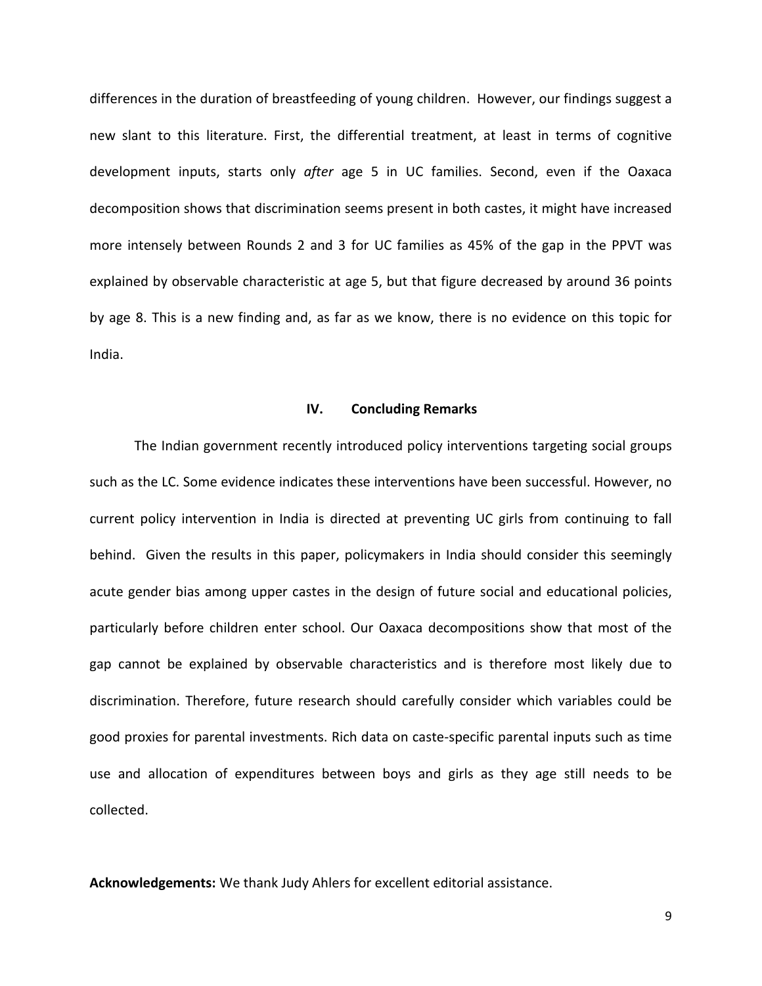differences in the duration of breastfeeding of young children. However, our findings suggest a new slant to this literature. First, the differential treatment, at least in terms of cognitive development inputs, starts only *after* age 5 in UC families. Second, even if the Oaxaca decomposition shows that discrimination seems present in both castes, it might have increased more intensely between Rounds 2 and 3 for UC families as 45% of the gap in the PPVT was explained by observable characteristic at age 5, but that figure decreased by around 36 points by age 8. This is a new finding and, as far as we know, there is no evidence on this topic for India.

#### **IV. Concluding Remarks**

The Indian government recently introduced policy interventions targeting social groups such as the LC. Some evidence indicates these interventions have been successful. However, no current policy intervention in India is directed at preventing UC girls from continuing to fall behind. Given the results in this paper, policymakers in India should consider this seemingly acute gender bias among upper castes in the design of future social and educational policies, particularly before children enter school. Our Oaxaca decompositions show that most of the gap cannot be explained by observable characteristics and is therefore most likely due to discrimination. Therefore, future research should carefully consider which variables could be good proxies for parental investments. Rich data on caste-specific parental inputs such as time use and allocation of expenditures between boys and girls as they age still needs to be collected.

**Acknowledgements:** We thank Judy Ahlers for excellent editorial assistance.

en de la provincia de la provincia de la provincia de la provincia de la provincia de la provincia de la provi<br>1990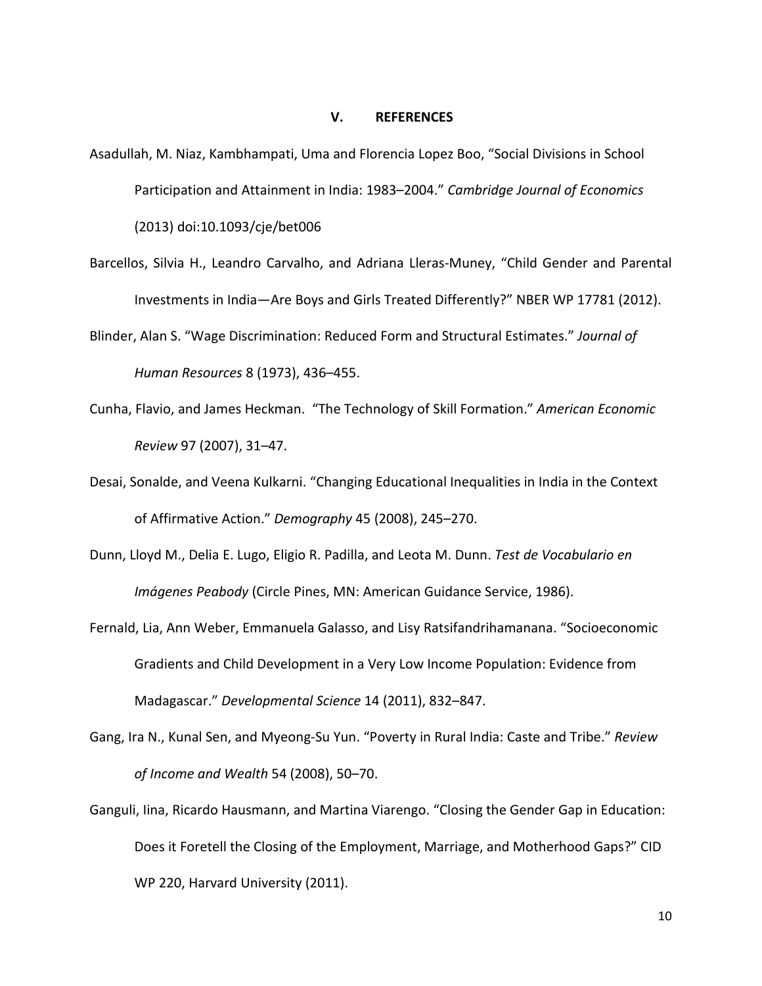#### **V. REFERENCES**

- Asadullah, M. Niaz, Kambhampati, Uma and Florencia Lopez Boo, "Social Divisions in School Participation and Attainment in India: 1983–2004." *Cambridge Journal of Economics* (2013) doi:10.1093/cje/bet006
- Barcellos, Silvia H., Leandro Carvalho, and Adriana Lleras-Muney, "Child Gender and Parental Investments in India—Are Boys and Girls Treated Differently?" NBER WP 17781 (2012).
- Blinder, Alan S. "Wage Discrimination: Reduced Form and Structural Estimates." *Journal of Human Resources* 8 (1973), 436–455.
- Cunha, Flavio, and James Heckman. "The Technology of Skill Formation." *American Economic Review* 97 (2007), 31–47.
- Desai, Sonalde, and Veena Kulkarni. "Changing Educational Inequalities in India in the Context of Affirmative Action." *Demography* 45 (2008), 245–270.
- Dunn, Lloyd M., Delia E. Lugo, Eligio R. Padilla, and Leota M. Dunn. *Test de Vocabulario en Imágenes Peabody* (Circle Pines, MN: American Guidance Service, 1986).
- Fernald, Lia, Ann Weber, Emmanuela Galasso, and Lisy Ratsifandrihamanana. "Socioeconomic Gradients and Child Development in a Very Low Income Population: Evidence from Madagascar." *Developmental Science* 14 (2011), 832–847.
- Gang, Ira N., Kunal Sen, and Myeong-Su Yun. "Poverty in Rural India: Caste and Tribe." *Review of Income and Wealth* 54 (2008), 50–70.
- Ganguli, Iina, Ricardo Hausmann, and Martina Viarengo. "Closing the Gender Gap in Education: Does it Foretell the Closing of the Employment, Marriage, and Motherhood Gaps?" CID WP 220, Harvard University (2011).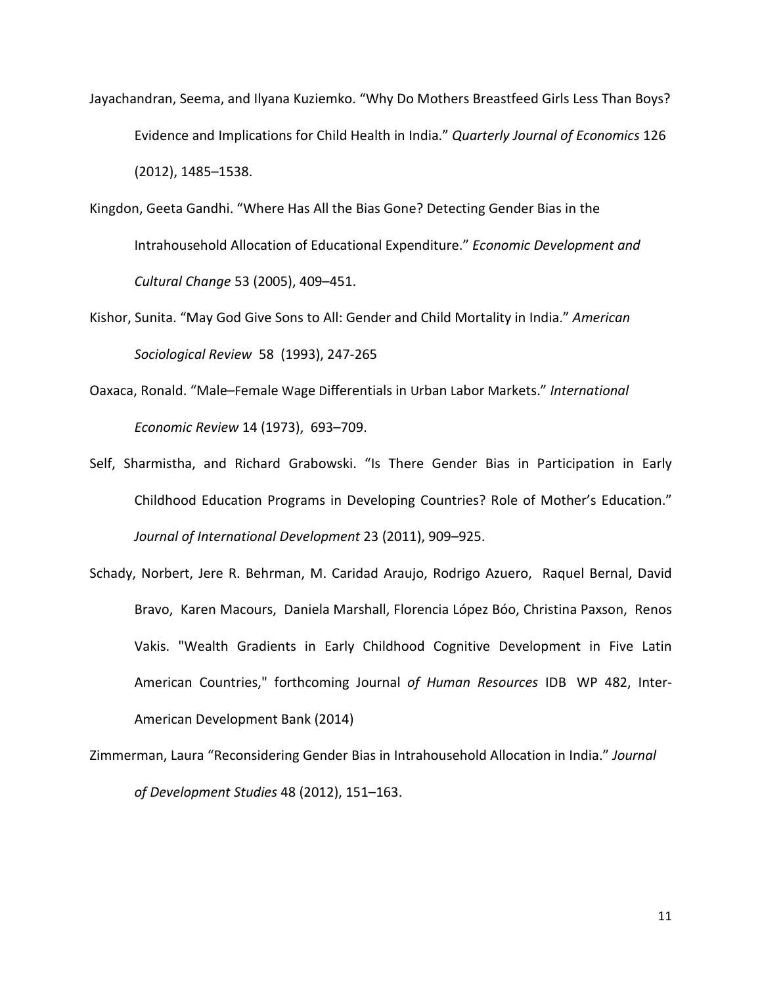- Jayachandran, Seema, and Ilyana Kuziemko. "Why Do Mothers Breastfeed Girls Less Than Boys? Evidence and Implications for Child Health in India." *Quarterly Journal of Economics* 126 (2012), 1485–1538.
- Kingdon, Geeta Gandhi. ["Where Has All the Bias Gone? Detecting Gender Bias in the](http://ideas.repec.org/a/ucp/ecdecc/y2005v53i2p409-51.html)  [Intrahousehold Allocation of Educational Expenditure.](http://ideas.repec.org/a/ucp/ecdecc/y2005v53i2p409-51.html)" *[Economic Development and](http://ideas.repec.org/s/ucp/ecdecc.html)  [Cultural Change](http://ideas.repec.org/s/ucp/ecdecc.html)* 53 (2005), 409–451.
- Kishor, Sunita. "May God Give Sons to All: Gender and Child Mortality in India." *American Sociological Review* 58 (1993), 247-265
- Oaxaca, Ronald. "Male–Female Wage Differentials in Urban Labor Markets." *International Economic Review* 14 (1973), 693–709.
- Self, Sharmistha, and Richard Grabowski. "Is There Gender Bias in Participation in Early Childhood Education Programs in Developing Countries? Role of Mother's Education." *Journal of International Development* 23 (2011), 909–925.
- Schady, Norbert, Jere R. Behrman, M. Caridad Araujo, Rodrigo Azuero, Raquel Bernal, David Bravo, Karen Macours, Daniela Marshall, Florencia López Bóo, Christina Paxson, Renos Vakis. ["Wealth Gradients in Early Childhood Cognitive Development in Five Latin](http://ideas.repec.org/p/idb/brikps/83776.html)  [American Countries,](http://ideas.repec.org/p/idb/brikps/83776.html)" forthcoming Journal *of Human Resources* [IDB](http://ideas.repec.org/s/idb/brikps.html) WP 482, Inter-American Development Bank (2014)
- Zimmerman, Laura "Reconsidering Gender Bias in Intrahousehold Allocation in India." *Journal of Development Studies* 48 (2012), 151–163.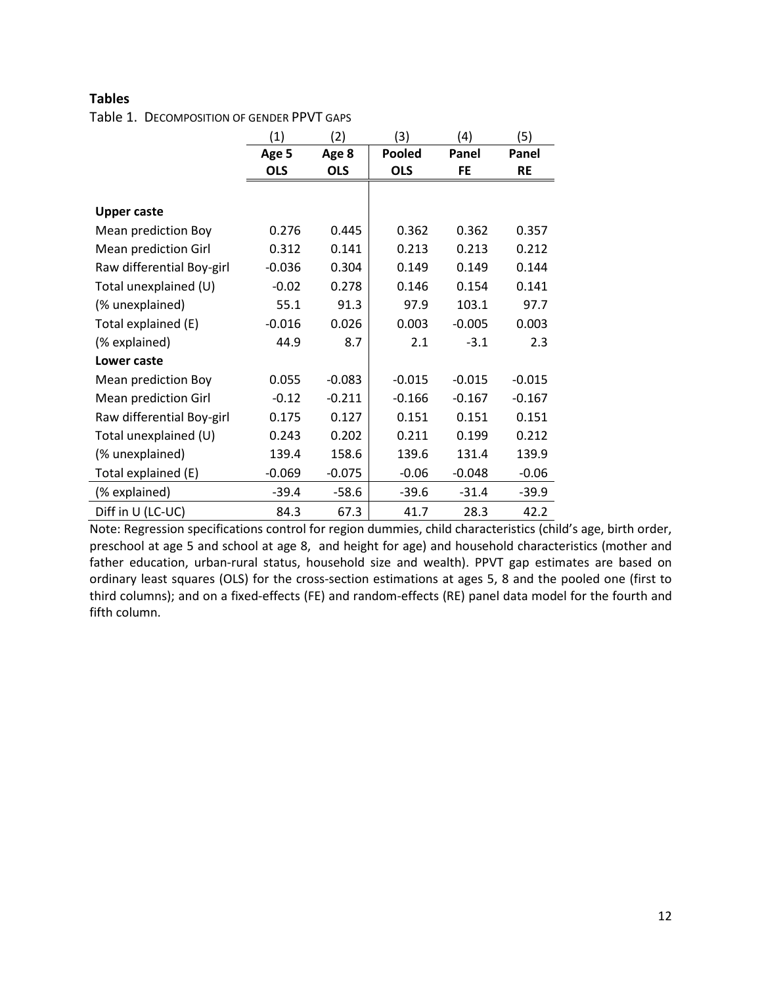### **Tables**

Table 1. DECOMPOSITION OF GENDER PPVT GAPS

|                           | (1)        | (2)        | (3)           | (4)       | (5)       |
|---------------------------|------------|------------|---------------|-----------|-----------|
|                           | Age 5      | Age 8      | <b>Pooled</b> | Panel     | Panel     |
|                           | <b>OLS</b> | <b>OLS</b> | <b>OLS</b>    | <b>FE</b> | <b>RE</b> |
|                           |            |            |               |           |           |
| <b>Upper caste</b>        |            |            |               |           |           |
| Mean prediction Boy       | 0.276      | 0.445      | 0.362         | 0.362     | 0.357     |
| Mean prediction Girl      | 0.312      | 0.141      | 0.213         | 0.213     | 0.212     |
| Raw differential Boy-girl | $-0.036$   | 0.304      | 0.149         | 0.149     | 0.144     |
| Total unexplained (U)     | $-0.02$    | 0.278      | 0.146         | 0.154     | 0.141     |
| (% unexplained)           | 55.1       | 91.3       | 97.9          | 103.1     | 97.7      |
| Total explained (E)       | $-0.016$   | 0.026      | 0.003         | $-0.005$  | 0.003     |
| (% explained)             | 44.9       | 8.7        | 2.1           | $-3.1$    | 2.3       |
| Lower caste               |            |            |               |           |           |
| Mean prediction Boy       | 0.055      | $-0.083$   | $-0.015$      | $-0.015$  | $-0.015$  |
| Mean prediction Girl      | $-0.12$    | $-0.211$   | $-0.166$      | $-0.167$  | $-0.167$  |
| Raw differential Boy-girl | 0.175      | 0.127      | 0.151         | 0.151     | 0.151     |
| Total unexplained (U)     | 0.243      | 0.202      | 0.211         | 0.199     | 0.212     |
| (% unexplained)           | 139.4      | 158.6      | 139.6         | 131.4     | 139.9     |
| Total explained (E)       | $-0.069$   | $-0.075$   | $-0.06$       | $-0.048$  | $-0.06$   |
| (% explained)             | $-39.4$    | $-58.6$    | $-39.6$       | $-31.4$   | $-39.9$   |
| Diff in U (LC-UC)         | 84.3       | 67.3       | 41.7          | 28.3      | 42.2      |

Note: Regression specifications control for region dummies, child characteristics (child's age, birth order, preschool at age 5 and school at age 8, and height for age) and household characteristics (mother and father education, urban-rural status, household size and wealth). PPVT gap estimates are based on ordinary least squares (OLS) for the cross-section estimations at ages 5, 8 and the pooled one (first to third columns); and on a fixed-effects (FE) and random-effects (RE) panel data model for the fourth and fifth column.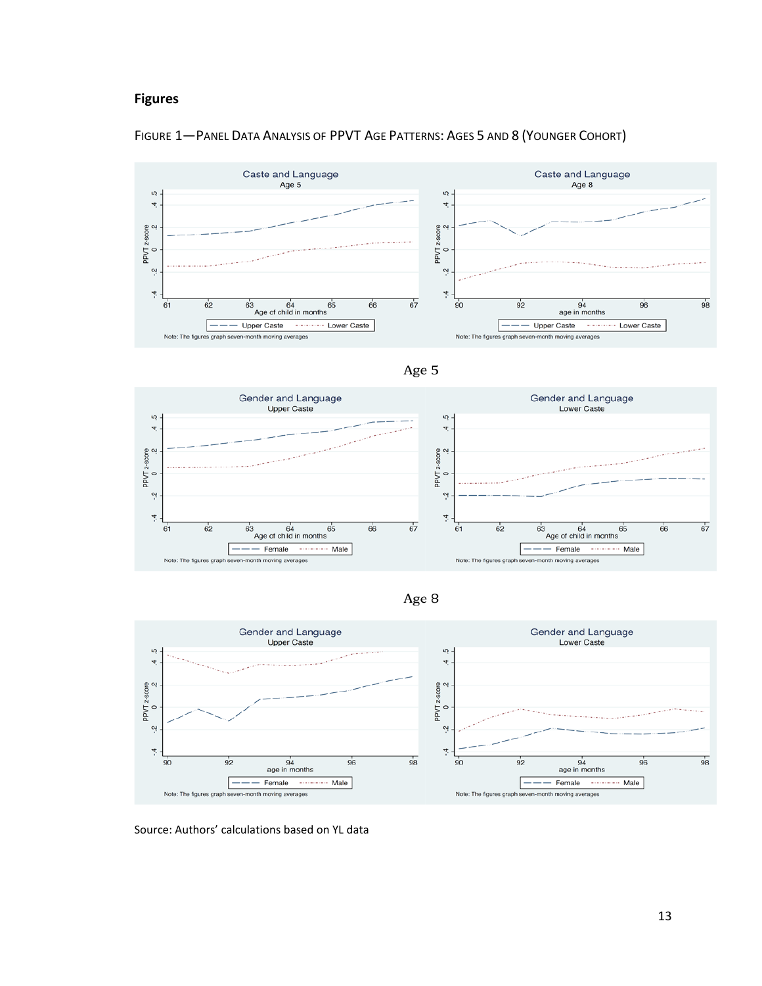### **Figures**













Source: Authors' calculations based on YL data